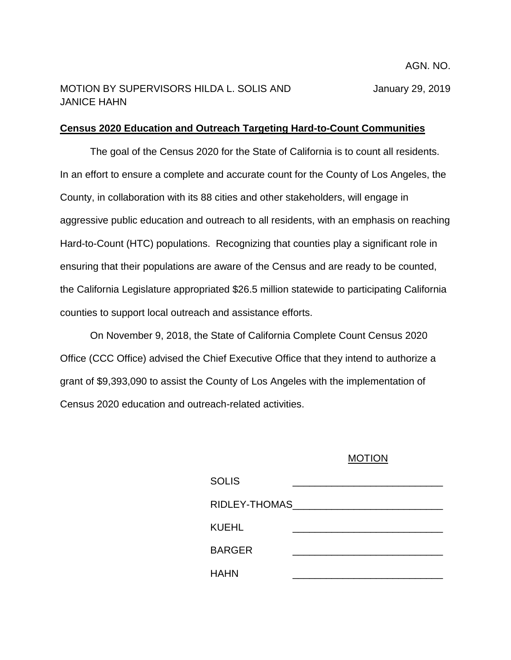## MOTION BY SUPERVISORS HILDA L. SOLIS AND January 29, 2019 JANICE HAHN

## **Census 2020 Education and Outreach Targeting Hard-to-Count Communities**

The goal of the Census 2020 for the State of California is to count all residents. In an effort to ensure a complete and accurate count for the County of Los Angeles, the County, in collaboration with its 88 cities and other stakeholders, will engage in aggressive public education and outreach to all residents, with an emphasis on reaching Hard-to-Count (HTC) populations. Recognizing that counties play a significant role in ensuring that their populations are aware of the Census and are ready to be counted, the California Legislature appropriated \$26.5 million statewide to participating California counties to support local outreach and assistance efforts.

On November 9, 2018, the State of California Complete Count Census 2020 Office (CCC Office) advised the Chief Executive Office that they intend to authorize a grant of \$9,393,090 to assist the County of Los Angeles with the implementation of Census 2020 education and outreach-related activities.

## MOTION

| <b>SOLIS</b>  |  |
|---------------|--|
| RIDLEY-THOMAS |  |
| KUEHL         |  |
| <b>BARGER</b> |  |
| <b>HAHN</b>   |  |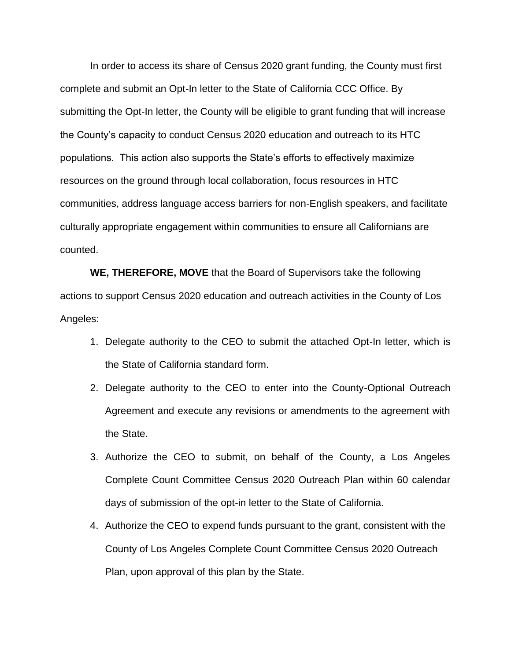In order to access its share of Census 2020 grant funding, the County must first complete and submit an Opt-In letter to the State of California CCC Office. By submitting the Opt-In letter, the County will be eligible to grant funding that will increase the County's capacity to conduct Census 2020 education and outreach to its HTC populations. This action also supports the State's efforts to effectively maximize resources on the ground through local collaboration, focus resources in HTC communities, address language access barriers for non-English speakers, and facilitate culturally appropriate engagement within communities to ensure all Californians are counted.

**WE, THEREFORE, MOVE** that the Board of Supervisors take the following actions to support Census 2020 education and outreach activities in the County of Los Angeles:

- 1. Delegate authority to the CEO to submit the attached Opt-In letter, which is the State of California standard form.
- 2. Delegate authority to the CEO to enter into the County-Optional Outreach Agreement and execute any revisions or amendments to the agreement with the State.
- 3. Authorize the CEO to submit, on behalf of the County, a Los Angeles Complete Count Committee Census 2020 Outreach Plan within 60 calendar days of submission of the opt-in letter to the State of California.
- 4. Authorize the CEO to expend funds pursuant to the grant, consistent with the County of Los Angeles Complete Count Committee Census 2020 Outreach Plan, upon approval of this plan by the State.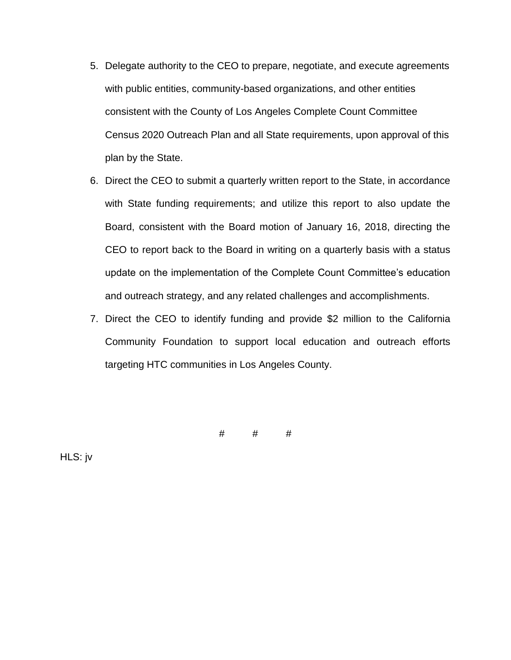- 5. Delegate authority to the CEO to prepare, negotiate, and execute agreements with public entities, community-based organizations, and other entities consistent with the County of Los Angeles Complete Count Committee Census 2020 Outreach Plan and all State requirements, upon approval of this plan by the State.
- 6. Direct the CEO to submit a quarterly written report to the State, in accordance with State funding requirements; and utilize this report to also update the Board, consistent with the Board motion of January 16, 2018, directing the CEO to report back to the Board in writing on a quarterly basis with a status update on the implementation of the Complete Count Committee's education and outreach strategy, and any related challenges and accomplishments.
- 7. Direct the CEO to identify funding and provide \$2 million to the California Community Foundation to support local education and outreach efforts targeting HTC communities in Los Angeles County.

# # #

HLS: jv